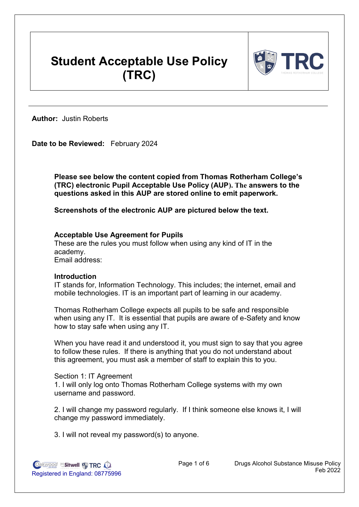# **Student Acceptable Use Policy (TRC)**



**Author:** Justin Roberts

**Date to be Reviewed:** February 2024

**Please see below the content copied from Thomas Rotherham College's (TRC) electronic Pupil Acceptable Use Policy (AUP). The answers to the questions asked in this AUP are stored online to emit paperwork.**

**Screenshots of the electronic AUP are pictured below the text.**

# **Acceptable Use Agreement for Pupils**

These are the rules you must follow when using any kind of IT in the academy. Email address:

## **Introduction**

IT stands for, Information Technology. This includes; the internet, email and mobile technologies. IT is an important part of learning in our academy.

Thomas Rotherham College expects all pupils to be safe and responsible when using any IT. It is essential that pupils are aware of e-Safety and know how to stay safe when using any IT.

When you have read it and understood it, you must sign to say that you agree to follow these rules. If there is anything that you do not understand about this agreement, you must ask a member of staff to explain this to you.

Section 1: IT Agreement 1. I will only log onto Thomas Rotherham College systems with my own username and password.

2. I will change my password regularly. If I think someone else knows it, I will change my password immediately.

3. I will not reveal my password(s) to anyone.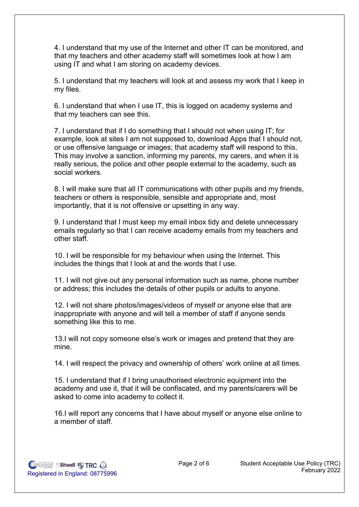4. I understand that my use of the Internet and other IT can be monitored, and that my teachers and other academy staff will sometimes look at how I am using IT and what I am storing on academy devices.

5. I understand that my teachers will look at and assess my work that I keep in my files.

6. I understand that when I use IT, this is logged on academy systems and that my teachers can see this.

7. I understand that if I do something that I should not when using IT; for example, look at sites I am not supposed to, download Apps that I should not, or use offensive language or images; that academy staff will respond to this. This may involve a sanction, informing my parents, my carers, and when it is really serious, the police and other people external to the academy, such as social workers.

8. I will make sure that all IT communications with other pupils and my friends, teachers or others is responsible, sensible and appropriate and, most importantly, that it is not offensive or upsetting in any way.

9. I understand that I must keep my email inbox tidy and delete unnecessary emails regularly so that I can receive academy emails from my teachers and other staff.

10. I will be responsible for my behaviour when using the Internet. This includes the things that I look at and the words that I use.

11. I will not give out any personal information such as name, phone number or address; this includes the details of other pupils or adults to anyone.

12. I will not share photos/images/videos of myself or anyone else that are inappropriate with anyone and will tell a member of staff if anyone sends something like this to me.

13.I will not copy someone else's work or images and pretend that they are mine.

14. I will respect the privacy and ownership of others' work online at all times.

15. I understand that if I bring unauthorised electronic equipment into the academy and use it, that it will be confiscated, and my parents/carers will be asked to come into academy to collect it.

16.I will report any concerns that I have about myself or anyone else online to a member of staff.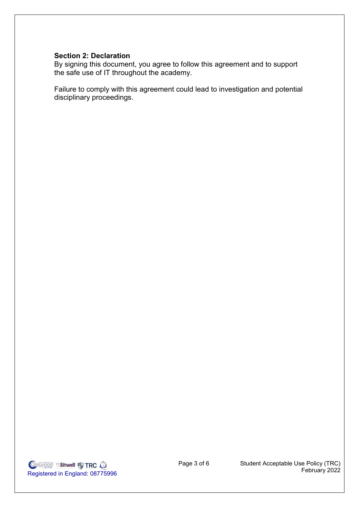## **Section 2: Declaration**

By signing this document, you agree to follow this agreement and to support the safe use of IT throughout the academy.

Failure to comply with this agreement could lead to investigation and potential disciplinary proceedings.

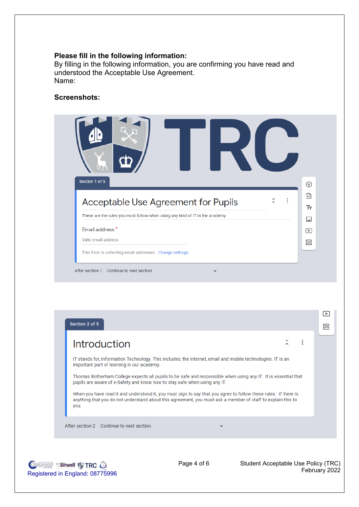#### **Please fill in the following information:**

By filling in the following information, you are confirming you have read and understood the Acceptable Use Agreement. Name:

# **Screenshots:**

Registered in England: 08775996

**Oakwood Sitwell & TRC O** 



| IT stands for, Information Technology. This includes; the internet, email and mobile technologies. IT is an<br>important part of learning in our academy.<br>Thomas Rotherham College expects all pupils to be safe and responsible when using any IT. It is essential that<br>pupils are aware of e-Safety and know how to stay safe when using any IT. |  |
|----------------------------------------------------------------------------------------------------------------------------------------------------------------------------------------------------------------------------------------------------------------------------------------------------------------------------------------------------------|--|
|                                                                                                                                                                                                                                                                                                                                                          |  |
|                                                                                                                                                                                                                                                                                                                                                          |  |
| When you have read it and understood it, you must sign to say that you agree to follow these rules. If there is<br>anything that you do not understand about this agreement, you must ask a member of staff to explain this to<br>you.                                                                                                                   |  |

Page 4 of 6 Student Acceptable Use Policy (TRC)

February 2022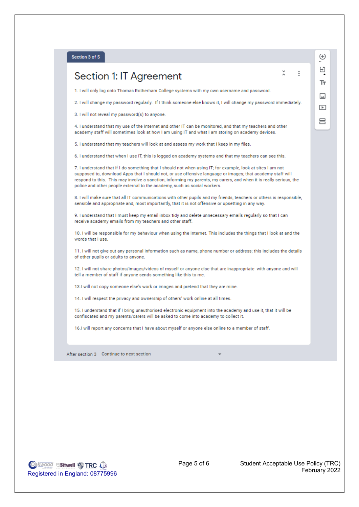#### Section 3 of 5

# Section 1: IT Agreement

1. I will only log onto Thomas Rotherham College systems with my own username and password.

2. I will change my password regularly. If I think someone else knows it, I will change my password immediately.

3. I will not reveal my password(s) to anyone.

4. I understand that my use of the Internet and other IT can be monitored, and that my teachers and other academy staff will sometimes look at how I am using IT and what I am storing on academy devices.

5. I understand that my teachers will look at and assess my work that I keep in my files.

6. I understand that when I use IT, this is logged on academy systems and that my teachers can see this.

7. I understand that if I do something that I should not when using IT; for example, look at sites I am not supposed to, download Apps that I should not, or use offensive language or images; that academy staff will respond to this. This may involve a sanction, informing my parents, my carers, and when it is really serious, the police and other people external to the academy, such as social workers.

8. I will make sure that all IT communications with other pupils and my friends, teachers or others is responsible, sensible and appropriate and, most importantly, that it is not offensive or upsetting in any way.

9. I understand that I must keep my email inbox tidy and delete unnecessary emails regularly so that I can receive academy emails from my teachers and other staff.

10. I will be responsible for my behaviour when using the Internet. This includes the things that I look at and the words that I use.

11. I will not give out any personal information such as name, phone number or address; this includes the details of other pupils or adults to anyone.

12. I will not share photos/images/videos of myself or anyone else that are inappropriate with anyone and will tell a member of staff if anyone sends something like this to me.

13.1 will not copy someone else's work or images and pretend that they are mine.

14. I will respect the privacy and ownership of others' work online at all times.

15. I understand that if I bring unauthorised electronic equipment into the academy and use it, that it will be confiscated and my parents/carers will be asked to come into academy to collect it.

16.1 will report any concerns that I have about myself or anyone else online to a member of staff.

After section 3 Continue to next section

**Oakwood Sitwell & TRC O.** Registered in England: 08775996

 $\oplus$ Э Ŧт  $\Box$  $\Box$ 吕

 $\tilde{\lambda}$ 

 $\vdots$